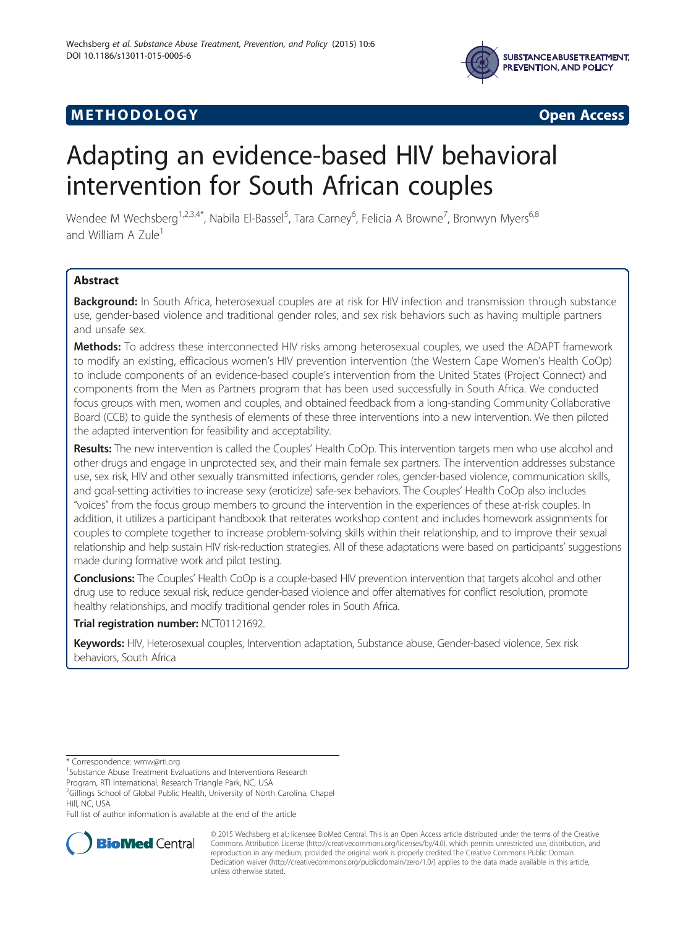

## **METHODOLOGY CONSUMING ACCESS**

# Adapting an evidence-based HIV behavioral intervention for South African couples

Wendee M Wechsberg<sup>1,2,3,4\*</sup>, Nabila El-Bassel<sup>5</sup>, Tara Carney<sup>6</sup>, Felicia A Browne<sup>7</sup>, Bronwyn Myers<sup>6,8</sup> and William A  $7u$ le<sup>1</sup>

## **Abstract**

Background: In South Africa, heterosexual couples are at risk for HIV infection and transmission through substance use, gender-based violence and traditional gender roles, and sex risk behaviors such as having multiple partners and unsafe sex.

Methods: To address these interconnected HIV risks among heterosexual couples, we used the ADAPT framework to modify an existing, efficacious women's HIV prevention intervention (the Western Cape Women's Health CoOp) to include components of an evidence-based couple's intervention from the United States (Project Connect) and components from the Men as Partners program that has been used successfully in South Africa. We conducted focus groups with men, women and couples, and obtained feedback from a long-standing Community Collaborative Board (CCB) to guide the synthesis of elements of these three interventions into a new intervention. We then piloted the adapted intervention for feasibility and acceptability.

Results: The new intervention is called the Couples' Health CoOp. This intervention targets men who use alcohol and other drugs and engage in unprotected sex, and their main female sex partners. The intervention addresses substance use, sex risk, HIV and other sexually transmitted infections, gender roles, gender-based violence, communication skills, and goal-setting activities to increase sexy (eroticize) safe-sex behaviors. The Couples' Health CoOp also includes "voices" from the focus group members to ground the intervention in the experiences of these at-risk couples. In addition, it utilizes a participant handbook that reiterates workshop content and includes homework assignments for couples to complete together to increase problem-solving skills within their relationship, and to improve their sexual relationship and help sustain HIV risk-reduction strategies. All of these adaptations were based on participants' suggestions made during formative work and pilot testing.

Conclusions: The Couples' Health CoOp is a couple-based HIV prevention intervention that targets alcohol and other drug use to reduce sexual risk, reduce gender-based violence and offer alternatives for conflict resolution, promote healthy relationships, and modify traditional gender roles in South Africa.

Trial registration number: [NCT01121692](https://clinicaltrials.gov/ct2/show/NCT01121692?term=Venue-based&rank=1).

Keywords: HIV, Heterosexual couples, Intervention adaptation, Substance abuse, Gender-based violence, Sex risk behaviors, South Africa

<sup>2</sup>Gillings School of Global Public Health, University of North Carolina, Chapel Hill, NC, USA

Full list of author information is available at the end of the article



© 2015 Wechsberg et al.; licensee BioMed Central. This is an Open Access article distributed under the terms of the Creative Commons Attribution License [\(http://creativecommons.org/licenses/by/4.0\)](http://creativecommons.org/licenses/by/4.0), which permits unrestricted use, distribution, and reproduction in any medium, provided the original work is properly credited.The Creative Commons Public Domain Dedication waiver [\(http://creativecommons.org/publicdomain/zero/1.0/](http://creativecommons.org/publicdomain/zero/1.0/)) applies to the data made available in this article, unless otherwise stated.

<sup>\*</sup> Correspondence: [wmw@rti.org](mailto:wmw@rti.org) <sup>1</sup>

<sup>&</sup>lt;sup>1</sup>Substance Abuse Treatment Evaluations and Interventions Research

Program, RTI International, Research Triangle Park, NC, USA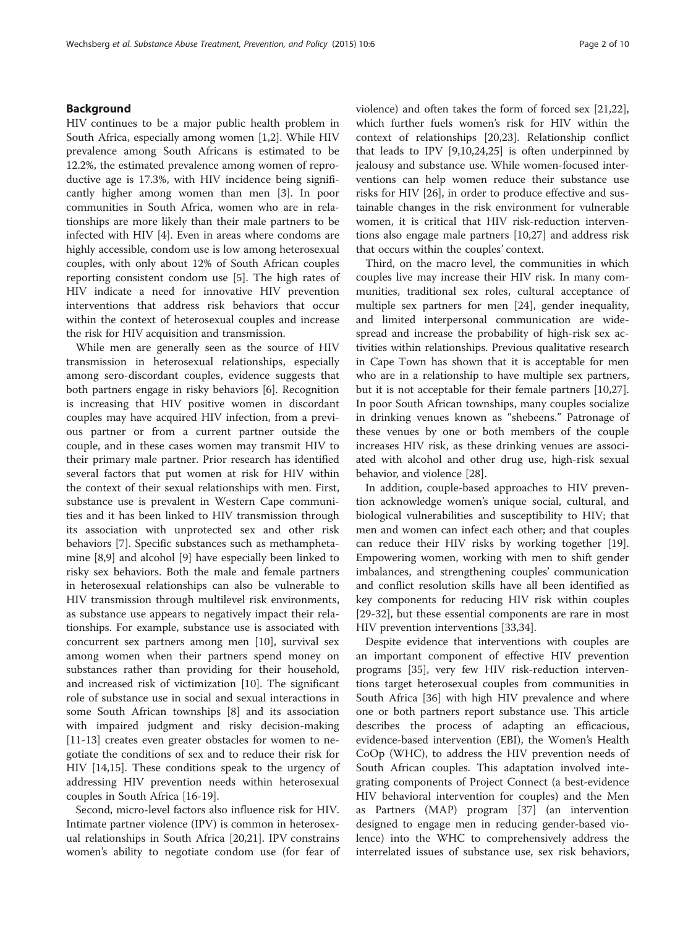## Background

HIV continues to be a major public health problem in South Africa, especially among women [\[1,2](#page-8-0)]. While HIV prevalence among South Africans is estimated to be 12.2%, the estimated prevalence among women of reproductive age is 17.3%, with HIV incidence being significantly higher among women than men [\[3](#page-8-0)]. In poor communities in South Africa, women who are in relationships are more likely than their male partners to be infected with HIV [[4\]](#page-8-0). Even in areas where condoms are highly accessible, condom use is low among heterosexual couples, with only about 12% of South African couples reporting consistent condom use [\[5](#page-8-0)]. The high rates of HIV indicate a need for innovative HIV prevention interventions that address risk behaviors that occur within the context of heterosexual couples and increase the risk for HIV acquisition and transmission.

While men are generally seen as the source of HIV transmission in heterosexual relationships, especially among sero-discordant couples, evidence suggests that both partners engage in risky behaviors [[6\]](#page-8-0). Recognition is increasing that HIV positive women in discordant couples may have acquired HIV infection, from a previous partner or from a current partner outside the couple, and in these cases women may transmit HIV to their primary male partner. Prior research has identified several factors that put women at risk for HIV within the context of their sexual relationships with men. First, substance use is prevalent in Western Cape communities and it has been linked to HIV transmission through its association with unprotected sex and other risk behaviors [[7\]](#page-8-0). Specific substances such as methamphetamine [[8,9\]](#page-8-0) and alcohol [\[9](#page-8-0)] have especially been linked to risky sex behaviors. Both the male and female partners in heterosexual relationships can also be vulnerable to HIV transmission through multilevel risk environments, as substance use appears to negatively impact their relationships. For example, substance use is associated with concurrent sex partners among men [\[10](#page-8-0)], survival sex among women when their partners spend money on substances rather than providing for their household, and increased risk of victimization [\[10](#page-8-0)]. The significant role of substance use in social and sexual interactions in some South African townships [\[8](#page-8-0)] and its association with impaired judgment and risky decision-making [[11-13](#page-8-0)] creates even greater obstacles for women to negotiate the conditions of sex and to reduce their risk for HIV [[14,15\]](#page-8-0). These conditions speak to the urgency of addressing HIV prevention needs within heterosexual couples in South Africa [\[16-19](#page-8-0)].

Second, micro-level factors also influence risk for HIV. Intimate partner violence (IPV) is common in heterosexual relationships in South Africa [\[20,21](#page-8-0)]. IPV constrains women's ability to negotiate condom use (for fear of violence) and often takes the form of forced sex [\[21,22](#page-8-0)], which further fuels women's risk for HIV within the context of relationships [[20](#page-8-0),[23](#page-8-0)]. Relationship conflict that leads to IPV [[9,10,24,25\]](#page-8-0) is often underpinned by jealousy and substance use. While women-focused interventions can help women reduce their substance use risks for HIV [\[26\]](#page-8-0), in order to produce effective and sustainable changes in the risk environment for vulnerable women, it is critical that HIV risk-reduction interventions also engage male partners [[10](#page-8-0),[27](#page-8-0)] and address risk that occurs within the couples' context.

Third, on the macro level, the communities in which couples live may increase their HIV risk. In many communities, traditional sex roles, cultural acceptance of multiple sex partners for men [\[24](#page-8-0)], gender inequality, and limited interpersonal communication are widespread and increase the probability of high-risk sex activities within relationships. Previous qualitative research in Cape Town has shown that it is acceptable for men who are in a relationship to have multiple sex partners, but it is not acceptable for their female partners [\[10,27](#page-8-0)]. In poor South African townships, many couples socialize in drinking venues known as "shebeens." Patronage of these venues by one or both members of the couple increases HIV risk, as these drinking venues are associated with alcohol and other drug use, high-risk sexual behavior, and violence [\[28](#page-8-0)].

In addition, couple-based approaches to HIV prevention acknowledge women's unique social, cultural, and biological vulnerabilities and susceptibility to HIV; that men and women can infect each other; and that couples can reduce their HIV risks by working together [\[19](#page-8-0)]. Empowering women, working with men to shift gender imbalances, and strengthening couples' communication and conflict resolution skills have all been identified as key components for reducing HIV risk within couples [[29-](#page-8-0)[32](#page-9-0)], but these essential components are rare in most HIV prevention interventions [\[33,34\]](#page-9-0).

Despite evidence that interventions with couples are an important component of effective HIV prevention programs [\[35\]](#page-9-0), very few HIV risk-reduction interventions target heterosexual couples from communities in South Africa [[36\]](#page-9-0) with high HIV prevalence and where one or both partners report substance use. This article describes the process of adapting an efficacious, evidence-based intervention (EBI), the Women's Health CoOp (WHC), to address the HIV prevention needs of South African couples. This adaptation involved integrating components of Project Connect (a best-evidence HIV behavioral intervention for couples) and the Men as Partners (MAP) program [\[37\]](#page-9-0) (an intervention designed to engage men in reducing gender-based violence) into the WHC to comprehensively address the interrelated issues of substance use, sex risk behaviors,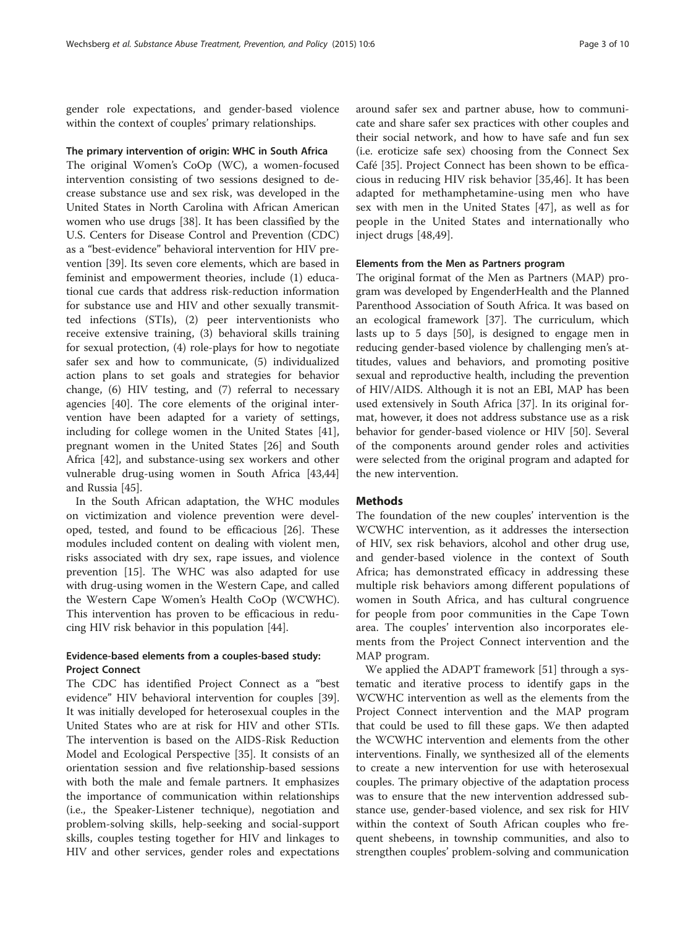gender role expectations, and gender-based violence within the context of couples' primary relationships.

## The primary intervention of origin: WHC in South Africa

The original Women's CoOp (WC), a women-focused intervention consisting of two sessions designed to decrease substance use and sex risk, was developed in the United States in North Carolina with African American women who use drugs [[38\]](#page-9-0). It has been classified by the U.S. Centers for Disease Control and Prevention (CDC) as a "best-evidence" behavioral intervention for HIV prevention [[39](#page-9-0)]. Its seven core elements, which are based in feminist and empowerment theories, include (1) educational cue cards that address risk-reduction information for substance use and HIV and other sexually transmitted infections (STIs), (2) peer interventionists who receive extensive training, (3) behavioral skills training for sexual protection, (4) role-plays for how to negotiate safer sex and how to communicate, (5) individualized action plans to set goals and strategies for behavior change, (6) HIV testing, and (7) referral to necessary agencies [[40](#page-9-0)]. The core elements of the original intervention have been adapted for a variety of settings, including for college women in the United States [\[41](#page-9-0)], pregnant women in the United States [[26\]](#page-8-0) and South Africa [[42\]](#page-9-0), and substance-using sex workers and other vulnerable drug-using women in South Africa [[43](#page-9-0),[44](#page-9-0)] and Russia [[45](#page-9-0)].

In the South African adaptation, the WHC modules on victimization and violence prevention were developed, tested, and found to be efficacious [[26](#page-8-0)]. These modules included content on dealing with violent men, risks associated with dry sex, rape issues, and violence prevention [\[15](#page-8-0)]. The WHC was also adapted for use with drug-using women in the Western Cape, and called the Western Cape Women's Health CoOp (WCWHC). This intervention has proven to be efficacious in reducing HIV risk behavior in this population [[44\]](#page-9-0).

## Evidence-based elements from a couples-based study: Project Connect

The CDC has identified Project Connect as a "best evidence" HIV behavioral intervention for couples [\[39](#page-9-0)]. It was initially developed for heterosexual couples in the United States who are at risk for HIV and other STIs. The intervention is based on the AIDS-Risk Reduction Model and Ecological Perspective [[35\]](#page-9-0). It consists of an orientation session and five relationship-based sessions with both the male and female partners. It emphasizes the importance of communication within relationships (i.e., the Speaker-Listener technique), negotiation and problem-solving skills, help-seeking and social-support skills, couples testing together for HIV and linkages to HIV and other services, gender roles and expectations

around safer sex and partner abuse, how to communicate and share safer sex practices with other couples and their social network, and how to have safe and fun sex (i.e. eroticize safe sex) choosing from the Connect Sex Café [\[35](#page-9-0)]. Project Connect has been shown to be efficacious in reducing HIV risk behavior [[35,46\]](#page-9-0). It has been adapted for methamphetamine-using men who have sex with men in the United States [[47](#page-9-0)], as well as for people in the United States and internationally who inject drugs [[48,49](#page-9-0)].

## Elements from the Men as Partners program

The original format of the Men as Partners (MAP) program was developed by EngenderHealth and the Planned Parenthood Association of South Africa. It was based on an ecological framework [[37](#page-9-0)]. The curriculum, which lasts up to 5 days [[50\]](#page-9-0), is designed to engage men in reducing gender-based violence by challenging men's attitudes, values and behaviors, and promoting positive sexual and reproductive health, including the prevention of HIV/AIDS. Although it is not an EBI, MAP has been used extensively in South Africa [\[37\]](#page-9-0). In its original format, however, it does not address substance use as a risk behavior for gender-based violence or HIV [[50](#page-9-0)]. Several of the components around gender roles and activities were selected from the original program and adapted for the new intervention.

## **Methods**

The foundation of the new couples' intervention is the WCWHC intervention, as it addresses the intersection of HIV, sex risk behaviors, alcohol and other drug use, and gender-based violence in the context of South Africa; has demonstrated efficacy in addressing these multiple risk behaviors among different populations of women in South Africa, and has cultural congruence for people from poor communities in the Cape Town area. The couples' intervention also incorporates elements from the Project Connect intervention and the MAP program.

We applied the ADAPT framework [[51\]](#page-9-0) through a systematic and iterative process to identify gaps in the WCWHC intervention as well as the elements from the Project Connect intervention and the MAP program that could be used to fill these gaps. We then adapted the WCWHC intervention and elements from the other interventions. Finally, we synthesized all of the elements to create a new intervention for use with heterosexual couples. The primary objective of the adaptation process was to ensure that the new intervention addressed substance use, gender-based violence, and sex risk for HIV within the context of South African couples who frequent shebeens, in township communities, and also to strengthen couples' problem-solving and communication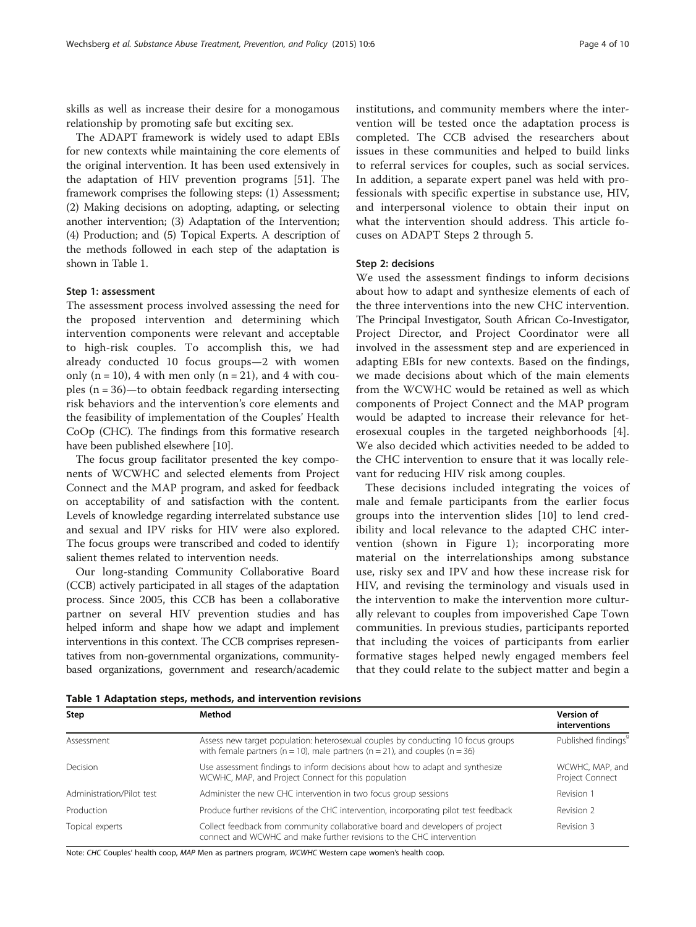skills as well as increase their desire for a monogamous relationship by promoting safe but exciting sex.

The ADAPT framework is widely used to adapt EBIs for new contexts while maintaining the core elements of the original intervention. It has been used extensively in the adaptation of HIV prevention programs [\[51](#page-9-0)]. The framework comprises the following steps: (1) Assessment; (2) Making decisions on adopting, adapting, or selecting another intervention; (3) Adaptation of the Intervention; (4) Production; and (5) Topical Experts. A description of the methods followed in each step of the adaptation is shown in Table 1.

## Step 1: assessment

The assessment process involved assessing the need for the proposed intervention and determining which intervention components were relevant and acceptable to high-risk couples. To accomplish this, we had already conducted 10 focus groups—2 with women only (n = 10), 4 with men only (n = 21), and 4 with couples  $(n = 36)$ —to obtain feedback regarding intersecting risk behaviors and the intervention's core elements and the feasibility of implementation of the Couples' Health CoOp (CHC). The findings from this formative research have been published elsewhere [[10](#page-8-0)].

The focus group facilitator presented the key components of WCWHC and selected elements from Project Connect and the MAP program, and asked for feedback on acceptability of and satisfaction with the content. Levels of knowledge regarding interrelated substance use and sexual and IPV risks for HIV were also explored. The focus groups were transcribed and coded to identify salient themes related to intervention needs.

Our long-standing Community Collaborative Board (CCB) actively participated in all stages of the adaptation process. Since 2005, this CCB has been a collaborative partner on several HIV prevention studies and has helped inform and shape how we adapt and implement interventions in this context. The CCB comprises representatives from non-governmental organizations, communitybased organizations, government and research/academic institutions, and community members where the intervention will be tested once the adaptation process is completed. The CCB advised the researchers about issues in these communities and helped to build links to referral services for couples, such as social services. In addition, a separate expert panel was held with professionals with specific expertise in substance use, HIV, and interpersonal violence to obtain their input on what the intervention should address. This article focuses on ADAPT Steps 2 through 5.

## Step 2: decisions

We used the assessment findings to inform decisions about how to adapt and synthesize elements of each of the three interventions into the new CHC intervention. The Principal Investigator, South African Co-Investigator, Project Director, and Project Coordinator were all involved in the assessment step and are experienced in adapting EBIs for new contexts. Based on the findings, we made decisions about which of the main elements from the WCWHC would be retained as well as which components of Project Connect and the MAP program would be adapted to increase their relevance for heterosexual couples in the targeted neighborhoods [\[4](#page-8-0)]. We also decided which activities needed to be added to the CHC intervention to ensure that it was locally relevant for reducing HIV risk among couples.

These decisions included integrating the voices of male and female participants from the earlier focus groups into the intervention slides [[10\]](#page-8-0) to lend credibility and local relevance to the adapted CHC intervention (shown in Figure [1](#page-4-0)); incorporating more material on the interrelationships among substance use, risky sex and IPV and how these increase risk for HIV, and revising the terminology and visuals used in the intervention to make the intervention more culturally relevant to couples from impoverished Cape Town communities. In previous studies, participants reported that including the voices of participants from earlier formative stages helped newly engaged members feel that they could relate to the subject matter and begin a

Table 1 Adaptation steps, methods, and intervention revisions

| Step                                                                                                                                                                     | Method                                                                                                                                                                      | <b>Version of</b><br>interventions |  |
|--------------------------------------------------------------------------------------------------------------------------------------------------------------------------|-----------------------------------------------------------------------------------------------------------------------------------------------------------------------------|------------------------------------|--|
| Assessment                                                                                                                                                               | Assess new target population: heterosexual couples by conducting 10 focus groups<br>with female partners ( $n = 10$ ), male partners ( $n = 21$ ), and couples ( $n = 36$ ) | Published findings <sup>9</sup>    |  |
| Decision                                                                                                                                                                 | Use assessment findings to inform decisions about how to adapt and synthesize<br>WCWHC, MAP, and Project Connect for this population                                        | WCWHC, MAP, and<br>Project Connect |  |
| Administration/Pilot test                                                                                                                                                | Administer the new CHC intervention in two focus group sessions                                                                                                             | Revision 1                         |  |
| Production                                                                                                                                                               | Produce further revisions of the CHC intervention, incorporating pilot test feedback                                                                                        |                                    |  |
| Collect feedback from community collaborative board and developers of project<br>Topical experts<br>connect and WCWHC and make further revisions to the CHC intervention |                                                                                                                                                                             | Revision 3                         |  |

Note: CHC Couples' health coop, MAP Men as partners program, WCWHC Western cape women's health coop.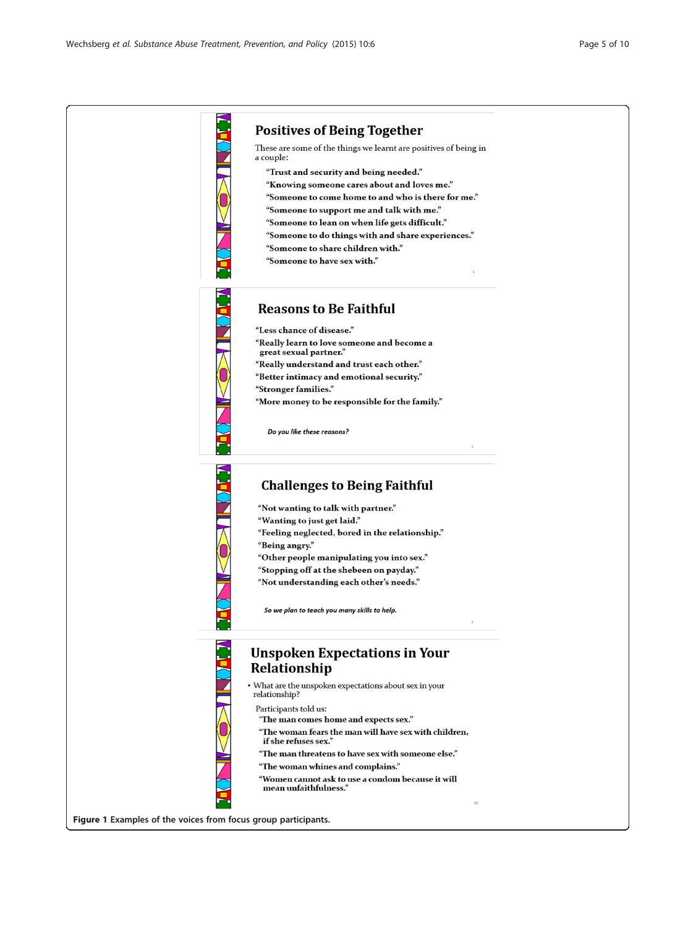<span id="page-4-0"></span>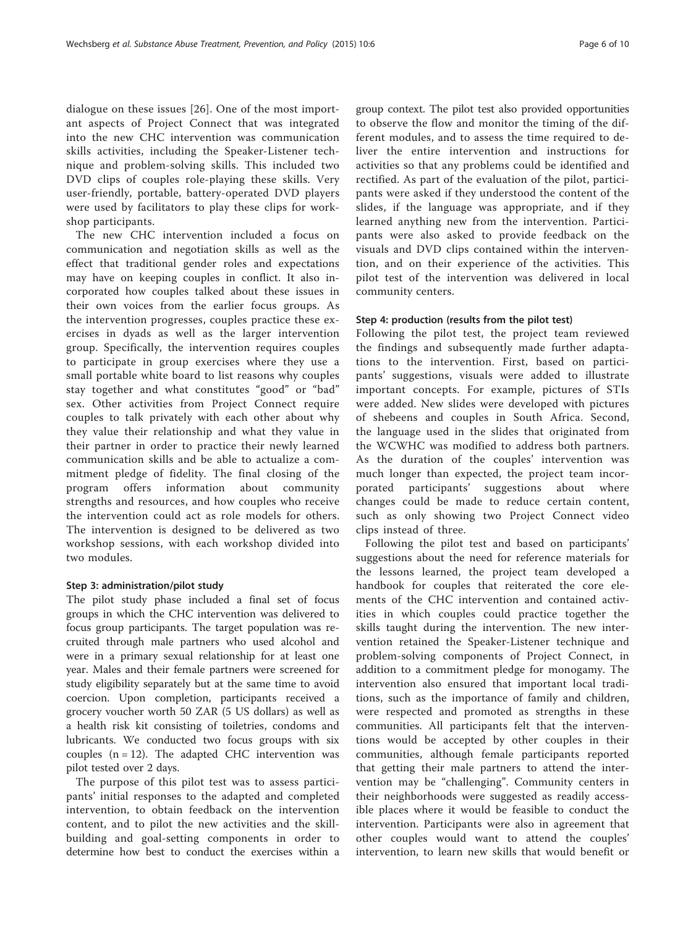dialogue on these issues [[26](#page-8-0)]. One of the most important aspects of Project Connect that was integrated into the new CHC intervention was communication skills activities, including the Speaker-Listener technique and problem-solving skills. This included two DVD clips of couples role-playing these skills. Very user-friendly, portable, battery-operated DVD players were used by facilitators to play these clips for workshop participants.

The new CHC intervention included a focus on communication and negotiation skills as well as the effect that traditional gender roles and expectations may have on keeping couples in conflict. It also incorporated how couples talked about these issues in their own voices from the earlier focus groups. As the intervention progresses, couples practice these exercises in dyads as well as the larger intervention group. Specifically, the intervention requires couples to participate in group exercises where they use a small portable white board to list reasons why couples stay together and what constitutes "good" or "bad" sex. Other activities from Project Connect require couples to talk privately with each other about why they value their relationship and what they value in their partner in order to practice their newly learned communication skills and be able to actualize a commitment pledge of fidelity. The final closing of the program offers information about community strengths and resources, and how couples who receive the intervention could act as role models for others. The intervention is designed to be delivered as two workshop sessions, with each workshop divided into two modules.

## Step 3: administration/pilot study

The pilot study phase included a final set of focus groups in which the CHC intervention was delivered to focus group participants. The target population was recruited through male partners who used alcohol and were in a primary sexual relationship for at least one year. Males and their female partners were screened for study eligibility separately but at the same time to avoid coercion. Upon completion, participants received a grocery voucher worth 50 ZAR (5 US dollars) as well as a health risk kit consisting of toiletries, condoms and lubricants. We conducted two focus groups with six couples  $(n = 12)$ . The adapted CHC intervention was pilot tested over 2 days.

The purpose of this pilot test was to assess participants' initial responses to the adapted and completed intervention, to obtain feedback on the intervention content, and to pilot the new activities and the skillbuilding and goal-setting components in order to determine how best to conduct the exercises within a

group context. The pilot test also provided opportunities to observe the flow and monitor the timing of the different modules, and to assess the time required to deliver the entire intervention and instructions for activities so that any problems could be identified and rectified. As part of the evaluation of the pilot, participants were asked if they understood the content of the slides, if the language was appropriate, and if they learned anything new from the intervention. Participants were also asked to provide feedback on the visuals and DVD clips contained within the intervention, and on their experience of the activities. This pilot test of the intervention was delivered in local community centers.

## Step 4: production (results from the pilot test)

Following the pilot test, the project team reviewed the findings and subsequently made further adaptations to the intervention. First, based on participants' suggestions, visuals were added to illustrate important concepts. For example, pictures of STIs were added. New slides were developed with pictures of shebeens and couples in South Africa. Second, the language used in the slides that originated from the WCWHC was modified to address both partners. As the duration of the couples' intervention was much longer than expected, the project team incorporated participants' suggestions about where changes could be made to reduce certain content, such as only showing two Project Connect video clips instead of three.

Following the pilot test and based on participants' suggestions about the need for reference materials for the lessons learned, the project team developed a handbook for couples that reiterated the core elements of the CHC intervention and contained activities in which couples could practice together the skills taught during the intervention. The new intervention retained the Speaker-Listener technique and problem-solving components of Project Connect, in addition to a commitment pledge for monogamy. The intervention also ensured that important local traditions, such as the importance of family and children, were respected and promoted as strengths in these communities. All participants felt that the interventions would be accepted by other couples in their communities, although female participants reported that getting their male partners to attend the intervention may be "challenging". Community centers in their neighborhoods were suggested as readily accessible places where it would be feasible to conduct the intervention. Participants were also in agreement that other couples would want to attend the couples' intervention, to learn new skills that would benefit or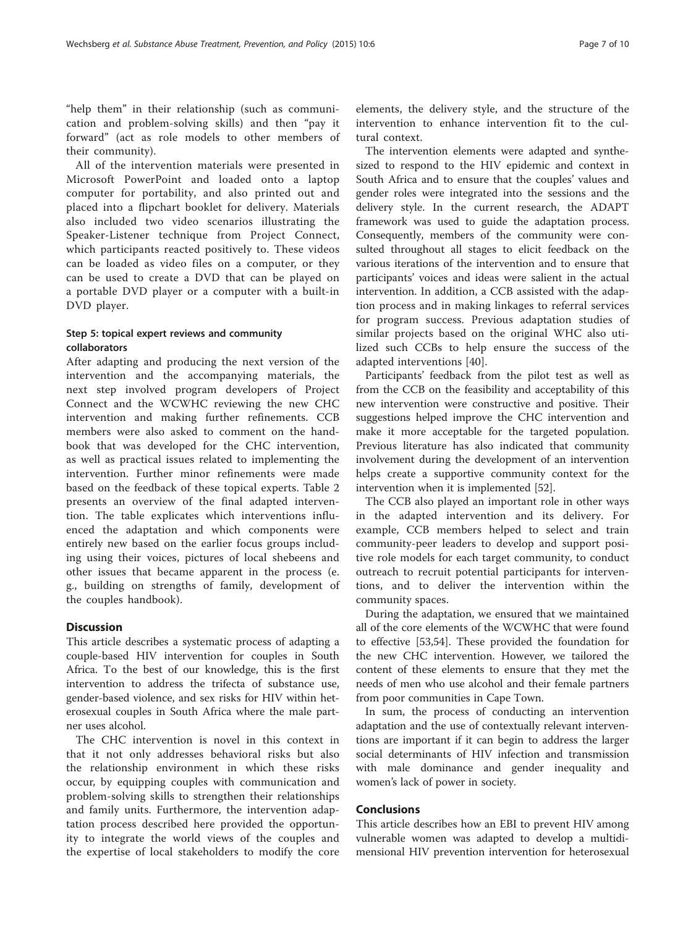"help them" in their relationship (such as communication and problem-solving skills) and then "pay it forward" (act as role models to other members of their community).

All of the intervention materials were presented in Microsoft PowerPoint and loaded onto a laptop computer for portability, and also printed out and placed into a flipchart booklet for delivery. Materials also included two video scenarios illustrating the Speaker-Listener technique from Project Connect, which participants reacted positively to. These videos can be loaded as video files on a computer, or they can be used to create a DVD that can be played on a portable DVD player or a computer with a built-in DVD player.

## Step 5: topical expert reviews and community collaborators

After adapting and producing the next version of the intervention and the accompanying materials, the next step involved program developers of Project Connect and the WCWHC reviewing the new CHC intervention and making further refinements. CCB members were also asked to comment on the handbook that was developed for the CHC intervention, as well as practical issues related to implementing the intervention. Further minor refinements were made based on the feedback of these topical experts. Table [2](#page-7-0) presents an overview of the final adapted intervention. The table explicates which interventions influenced the adaptation and which components were entirely new based on the earlier focus groups including using their voices, pictures of local shebeens and other issues that became apparent in the process (e. g., building on strengths of family, development of the couples handbook).

## **Discussion**

This article describes a systematic process of adapting a couple-based HIV intervention for couples in South Africa. To the best of our knowledge, this is the first intervention to address the trifecta of substance use, gender-based violence, and sex risks for HIV within heterosexual couples in South Africa where the male partner uses alcohol.

The CHC intervention is novel in this context in that it not only addresses behavioral risks but also the relationship environment in which these risks occur, by equipping couples with communication and problem-solving skills to strengthen their relationships and family units. Furthermore, the intervention adaptation process described here provided the opportunity to integrate the world views of the couples and the expertise of local stakeholders to modify the core elements, the delivery style, and the structure of the intervention to enhance intervention fit to the cultural context.

The intervention elements were adapted and synthesized to respond to the HIV epidemic and context in South Africa and to ensure that the couples' values and gender roles were integrated into the sessions and the delivery style. In the current research, the ADAPT framework was used to guide the adaptation process. Consequently, members of the community were consulted throughout all stages to elicit feedback on the various iterations of the intervention and to ensure that participants' voices and ideas were salient in the actual intervention. In addition, a CCB assisted with the adaption process and in making linkages to referral services for program success. Previous adaptation studies of similar projects based on the original WHC also utilized such CCBs to help ensure the success of the adapted interventions [[40\]](#page-9-0).

Participants' feedback from the pilot test as well as from the CCB on the feasibility and acceptability of this new intervention were constructive and positive. Their suggestions helped improve the CHC intervention and make it more acceptable for the targeted population. Previous literature has also indicated that community involvement during the development of an intervention helps create a supportive community context for the intervention when it is implemented [\[52](#page-9-0)].

The CCB also played an important role in other ways in the adapted intervention and its delivery. For example, CCB members helped to select and train community-peer leaders to develop and support positive role models for each target community, to conduct outreach to recruit potential participants for interventions, and to deliver the intervention within the community spaces.

During the adaptation, we ensured that we maintained all of the core elements of the WCWHC that were found to effective [\[53,54\]](#page-9-0). These provided the foundation for the new CHC intervention. However, we tailored the content of these elements to ensure that they met the needs of men who use alcohol and their female partners from poor communities in Cape Town.

In sum, the process of conducting an intervention adaptation and the use of contextually relevant interventions are important if it can begin to address the larger social determinants of HIV infection and transmission with male dominance and gender inequality and women's lack of power in society.

## **Conclusions**

This article describes how an EBI to prevent HIV among vulnerable women was adapted to develop a multidimensional HIV prevention intervention for heterosexual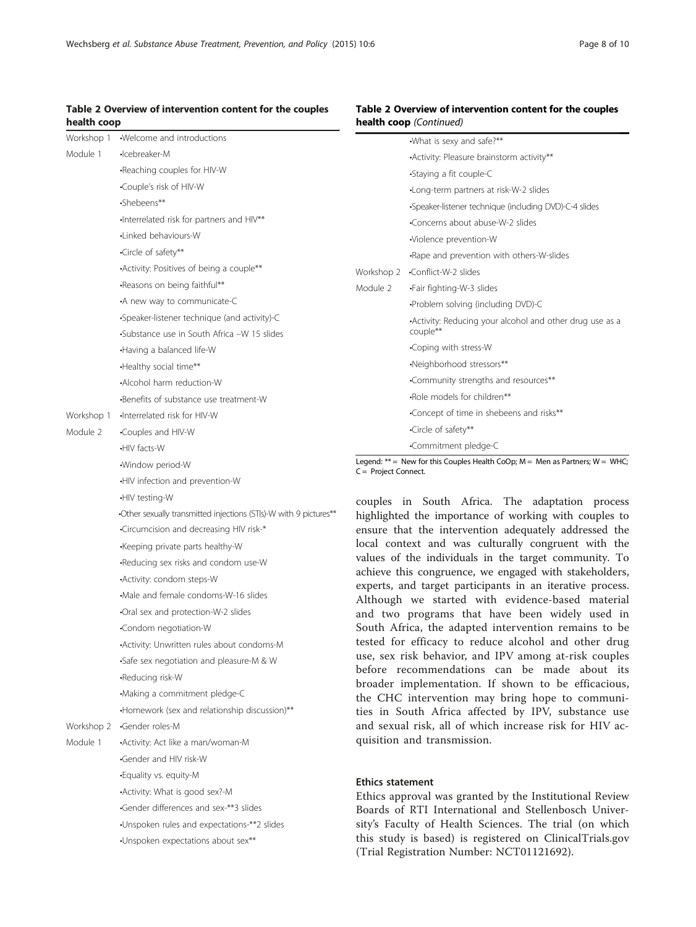## <span id="page-7-0"></span>Table 2 Overview of intervention content for the couples health coop

•Safe sex negotiation and pleasure-M & W

•Homework (sex and relationship discussion)\*\*

•Making a commitment pledge-C

•Reducing risk-W

Module 1 • Activity: Act like a man/woman-M •Gender and HIV risk-W •Equality vs. equity-M •Activity: What is good sex?-M •Gender differences and sex-\*\*3 slides •Unspoken rules and expectations-\*\*2 slides •Unspoken expectations about sex\*\*

Workshop 2 •Gender roles-M

Mod

| Workshop 1 | . Welcome and introductions                                                                                                                                   |                                                                                                                                                                                                                                     | •What is sexy and safe?**                                                                          |  |
|------------|---------------------------------------------------------------------------------------------------------------------------------------------------------------|-------------------------------------------------------------------------------------------------------------------------------------------------------------------------------------------------------------------------------------|----------------------------------------------------------------------------------------------------|--|
| Module 1   | ·Icebreaker-M                                                                                                                                                 |                                                                                                                                                                                                                                     | •Activity: Pleasure brainstorm activity**                                                          |  |
|            | •Reaching couples for HIV-W                                                                                                                                   |                                                                                                                                                                                                                                     | -Staying a fit couple-C                                                                            |  |
|            | •Couple's risk of HIV-W                                                                                                                                       |                                                                                                                                                                                                                                     | •Long-term partners at risk-W-2 slides                                                             |  |
|            | ·Shebeens**                                                                                                                                                   |                                                                                                                                                                                                                                     | •Speaker-listener technique (including DVD)-C-4 slides                                             |  |
|            | •Interrelated risk for partners and HIV**                                                                                                                     |                                                                                                                                                                                                                                     | •Concerns about abuse-W-2 slides                                                                   |  |
|            | •Linked behaviours-W                                                                                                                                          |                                                                                                                                                                                                                                     | ·Violence prevention-W                                                                             |  |
|            | •Circle of safety**                                                                                                                                           |                                                                                                                                                                                                                                     | -Rape and prevention with others-W-slides                                                          |  |
|            | *Activity: Positives of being a couple**                                                                                                                      | Workshop 2                                                                                                                                                                                                                          | •Conflict-W-2 slides                                                                               |  |
|            | •Reasons on being faithful**                                                                                                                                  | Module 2                                                                                                                                                                                                                            | -Fair fighting-W-3 slides                                                                          |  |
|            | •A new way to communicate-C                                                                                                                                   |                                                                                                                                                                                                                                     | -Problem solving (including DVD)-C                                                                 |  |
|            | •Speaker-listener technique (and activity)-C<br>•Substance use in South Africa -W 15 slides                                                                   |                                                                                                                                                                                                                                     | •Activity: Reducing your alcohol and other drug use as a<br>couple**                               |  |
|            | •Having a balanced life-W                                                                                                                                     |                                                                                                                                                                                                                                     | •Coping with stress-W                                                                              |  |
|            | .Healthy social time**                                                                                                                                        |                                                                                                                                                                                                                                     | •Neighborhood stressors**                                                                          |  |
|            | •Alcohol harm reduction-W                                                                                                                                     |                                                                                                                                                                                                                                     | *Community strengths and resources**                                                               |  |
|            | •Benefits of substance use treatment-W                                                                                                                        |                                                                                                                                                                                                                                     | .Role models for children**                                                                        |  |
| Workshop 1 | Interrelated risk for HIV-W                                                                                                                                   |                                                                                                                                                                                                                                     | •Concept of time in shebeens and risks**                                                           |  |
| Module 2   | •Couples and HIV-W                                                                                                                                            |                                                                                                                                                                                                                                     | •Circle of safety**                                                                                |  |
|            | •HIV facts-W                                                                                                                                                  | •Commitment pledge-C                                                                                                                                                                                                                |                                                                                                    |  |
|            | Legend: $**$ = New for this Couples Health CoOp; M = Men as Partners; W = WHC;<br>·Window period-W<br>C = Project Connect.<br>.HIV infection and prevention-W |                                                                                                                                                                                                                                     |                                                                                                    |  |
|            |                                                                                                                                                               |                                                                                                                                                                                                                                     |                                                                                                    |  |
|            | •HIV testing-W                                                                                                                                                |                                                                                                                                                                                                                                     | couples in South Africa. The adaptation process                                                    |  |
|            | •Other sexually transmitted injections (STIs)-W with 9 pictures**<br>highlighted the importance of working with couples to                                    |                                                                                                                                                                                                                                     |                                                                                                    |  |
|            | •Circumcision and decreasing HIV risk-*                                                                                                                       | ensure that the intervention adequately addressed the                                                                                                                                                                               |                                                                                                    |  |
|            | •Keeping private parts healthy-W                                                                                                                              | local context and was culturally congruent with the<br>values of the individuals in the target community. To<br>achieve this congruence, we engaged with stakeholders,<br>experts, and target participants in an iterative process. |                                                                                                    |  |
|            | •Reducing sex risks and condom use-W                                                                                                                          |                                                                                                                                                                                                                                     |                                                                                                    |  |
|            | •Activity: condom steps-W                                                                                                                                     |                                                                                                                                                                                                                                     |                                                                                                    |  |
|            | •Male and female condoms-W-16 slides                                                                                                                          |                                                                                                                                                                                                                                     | Although we started with evidence-based material<br>and two programs that have been widely used in |  |
|            | -Oral sex and protection-W-2 slides                                                                                                                           |                                                                                                                                                                                                                                     |                                                                                                    |  |
|            | •Condom negotiation-W                                                                                                                                         | South Africa, the adapted intervention remains to be                                                                                                                                                                                |                                                                                                    |  |
|            | •Activity: Unwritten rules about condoms-M                                                                                                                    | tested for efficacy to reduce alcohol and other drug                                                                                                                                                                                |                                                                                                    |  |

on remains to be tested for efficacy to reduce alcohol and other drug use, sex risk behavior, and IPV among at-risk couples before recommendations can be made about its broader implementation. If shown to be efficacious, the CHC intervention may bring hope to communities in South Africa affected by IPV, substance use and sexual risk, all of which increase risk for HIV acquisition and transmission.

Table 2 Overview of intervention content for the couples

health coop (Continued)

## Ethics statement

Ethics approval was granted by the Institutional Review Boards of RTI International and Stellenbosch University's Faculty of Health Sciences. The trial (on which this study is based) is registered on ClinicalTrials.gov (Trial Registration Number: [NCT01121692\)](http://www.clinicaltrials.gov/NCT01121692).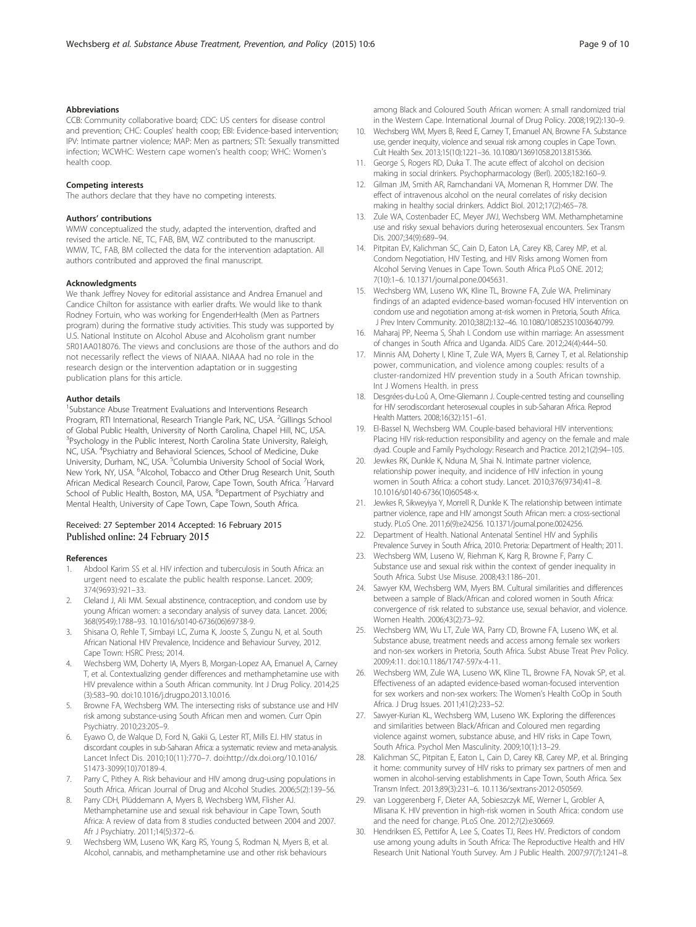#### <span id="page-8-0"></span>Abbreviations

CCB: Community collaborative board; CDC: US centers for disease control and prevention; CHC: Couples' health coop; EBI: Evidence-based intervention; IPV: Intimate partner violence; MAP: Men as partners; STI: Sexually transmitted infection; WCWHC: Western cape women's health coop; WHC: Women's health coop.

#### Competing interests

The authors declare that they have no competing interests.

#### Authors' contributions

WMW conceptualized the study, adapted the intervention, drafted and revised the article. NE, TC, FAB, BM, WZ contributed to the manuscript. WMW, TC, FAB, BM collected the data for the intervention adaptation. All authors contributed and approved the final manuscript.

#### Acknowledgments

We thank Jeffrey Novey for editorial assistance and Andrea Emanuel and Candice Chilton for assistance with earlier drafts. We would like to thank Rodney Fortuin, who was working for EngenderHealth (Men as Partners program) during the formative study activities. This study was supported by U.S. National Institute on Alcohol Abuse and Alcoholism grant number 5R01AA018076. The views and conclusions are those of the authors and do not necessarily reflect the views of NIAAA. NIAAA had no role in the research design or the intervention adaptation or in suggesting publication plans for this article.

#### Author details

<sup>1</sup>Substance Abuse Treatment Evaluations and Interventions Research Program, RTI International, Research Triangle Park, NC, USA. <sup>2</sup>Gillings School of Global Public Health, University of North Carolina, Chapel Hill, NC, USA. <sup>3</sup>Psychology in the Public Interest, North Carolina State University, Raleigh, NC, USA. <sup>4</sup>Psychiatry and Behavioral Sciences, School of Medicine, Duke University, Durham, NC, USA. <sup>5</sup>Columbia University School of Social Work, New York, NY, USA. <sup>6</sup>Alcohol, Tobacco and Other Drug Research Unit, South African Medical Research Council, Parow, Cape Town, South Africa. <sup>7</sup>Harvard School of Public Health, Boston, MA, USA. <sup>8</sup>Department of Psychiatry and Mental Health, University of Cape Town, Cape Town, South Africa.

## Received: 27 September 2014 Accepted: 16 February 2015 Published online: 24 February 2015

#### References

- 1. Abdool Karim SS et al. HIV infection and tuberculosis in South Africa: an urgent need to escalate the public health response. Lancet. 2009; 374(9693):921–33.
- 2. Cleland J, Ali MM. Sexual abstinence, contraception, and condom use by young African women: a secondary analysis of survey data. Lancet. 2006; 368(9549):1788–93. 10.1016/s0140-6736(06)69738-9.
- 3. Shisana O, Rehle T, Simbayi LC, Zuma K, Jooste S, Zungu N, et al. South African National HIV Prevalence, Incidence and Behaviour Survey, 2012. Cape Town: HSRC Press; 2014.
- 4. Wechsberg WM, Doherty IA, Myers B, Morgan-Lopez AA, Emanuel A, Carney T, et al. Contextualizing gender differences and methamphetamine use with HIV prevalence within a South African community. Int J Drug Policy. 2014;25 (3):583–90. doi:10.1016/j.drugpo.2013.10.016.
- 5. Browne FA, Wechsberg WM. The intersecting risks of substance use and HIV risk among substance-using South African men and women. Curr Opin Psychiatry. 2010;23:205–9.
- 6. Eyawo O, de Walque D, Ford N, Gakii G, Lester RT, Mills EJ. HIV status in discordant couples in sub-Saharan Africa: a systematic review and meta-analysis. Lancet Infect Dis. 2010;10(11):770–7. doi:http://dx.doi.org/10.1016/ S1473-3099(10)70189-4.
- 7. Parry C, Pithey A. Risk behaviour and HIV among drug-using populations in South Africa. African Journal of Drug and Alcohol Studies. 2006;5(2):139–56.
- Parry CDH, Plüddemann A, Myers B, Wechsberg WM, Flisher AJ. Methamphetamine use and sexual risk behaviour in Cape Town, South Africa: A review of data from 8 studies conducted between 2004 and 2007. Afr J Psychiatry. 2011;14(5):372–6.
- 9. Wechsberg WM, Luseno WK, Karg RS, Young S, Rodman N, Myers B, et al. Alcohol, cannabis, and methamphetamine use and other risk behaviours

among Black and Coloured South African women: A small randomized trial in the Western Cape. International Journal of Drug Policy. 2008;19(2):130–9.

- 10. Wechsberg WM, Myers B, Reed E, Carney T, Emanuel AN, Browne FA. Substance use, gender inequity, violence and sexual risk among couples in Cape Town. Cult Health Sex. 2013;15(10):1221–36. 10.1080/13691058.2013.815366.
- 11. George S, Rogers RD, Duka T. The acute effect of alcohol on decision making in social drinkers. Psychopharmacology (Berl). 2005;182:160–9.
- 12. Gilman JM, Smith AR, Ramchandani VA, Momenan R, Hommer DW. The effect of intravenous alcohol on the neural correlates of risky decision making in healthy social drinkers. Addict Biol. 2012;17(2):465–78.
- 13. Zule WA, Costenbader EC, Meyer JWJ, Wechsberg WM. Methamphetamine use and risky sexual behaviors during heterosexual encounters. Sex Transm Dis. 2007;34(9):689–94.
- 14. Pitpitan EV, Kalichman SC, Cain D, Eaton LA, Carey KB, Carey MP, et al. Condom Negotiation, HIV Testing, and HIV Risks among Women from Alcohol Serving Venues in Cape Town. South Africa PLoS ONE. 2012; 7(10):1–6. 10.1371/journal.pone.0045631.
- 15. Wechsberg WM, Luseno WK, Kline TL, Browne FA, Zule WA. Preliminary findings of an adapted evidence-based woman-focused HIV intervention on condom use and negotiation among at-risk women in Pretoria, South Africa. J Prev Interv Community. 2010;38(2):132–46. 10.1080/10852351003640799.
- 16. Maharaj PP, Neema S, Shah I. Condom use within marriage: An assessment of changes in South Africa and Uganda. AIDS Care. 2012;24(4):444–50.
- 17. Minnis AM, Doherty I, Kline T, Zule WA, Myers B, Carney T, et al. Relationship power, communication, and violence among couples: results of a cluster-randomized HIV prevention study in a South African township. Int J Womens Health. in press
- 18. Desgrées-du-Loû A, Orne-Gliemann J. Couple-centred testing and counselling for HIV serodiscordant heterosexual couples in sub-Saharan Africa. Reprod Health Matters. 2008;16(32):151–61.
- 19. El-Bassel N, Wechsberg WM. Couple-based behavioral HIV interventions: Placing HIV risk-reduction responsibility and agency on the female and male dyad. Couple and Family Psychology: Research and Practice. 2012;1(2):94–105.
- 20. Jewkes RK, Dunkle K, Nduna M, Shai N. Intimate partner violence, relationship power inequity, and incidence of HIV infection in young women in South Africa: a cohort study. Lancet. 2010;376(9734):41–8. 10.1016/s0140-6736(10)60548-x.
- 21. Jewkes R, Sikweyiya Y, Morrell R, Dunkle K. The relationship between intimate partner violence, rape and HIV amongst South African men: a cross-sectional study. PLoS One. 2011;6(9):e24256. 10.1371/journal.pone.0024256.
- 22. Department of Health. National Antenatal Sentinel HIV and Syphilis Prevalence Survey in South Africa, 2010. Pretoria: Department of Health; 2011.
- 23. Wechsberg WM, Luseno W, Riehman K, Karg R, Browne F, Parry C. Substance use and sexual risk within the context of gender inequality in South Africa. Subst Use Misuse. 2008;43:1186–201.
- 24. Sawyer KM, Wechsberg WM, Myers BM. Cultural similarities and differences between a sample of Black/African and colored women in South Africa: convergence of risk related to substance use, sexual behavior, and violence. Women Health. 2006;43(2):73–92.
- 25. Wechsberg WM, Wu LT, Zule WA, Parry CD, Browne FA, Luseno WK, et al. Substance abuse, treatment needs and access among female sex workers and non-sex workers in Pretoria, South Africa. Subst Abuse Treat Prev Policy. 2009;4:11. doi:10.1186/1747-597x-4-11.
- 26. Wechsberg WM, Zule WA, Luseno WK, Kline TL, Browne FA, Novak SP, et al. Effectiveness of an adapted evidence-based woman-focused intervention for sex workers and non-sex workers: The Women's Health CoOp in South Africa. J Drug Issues. 2011;41(2):233–52.
- 27. Sawyer-Kurian KL, Wechsberg WM, Luseno WK. Exploring the differences and similarities between Black/African and Coloured men regarding violence against women, substance abuse, and HIV risks in Cape Town, South Africa. Psychol Men Masculinity. 2009;10(1):13–29.
- 28. Kalichman SC, Pitpitan E, Eaton L, Cain D, Carey KB, Carey MP, et al. Bringing it home: community survey of HIV risks to primary sex partners of men and women in alcohol-serving establishments in Cape Town, South Africa. Sex Transm Infect. 2013;89(3):231–6. 10.1136/sextrans-2012-050569.
- 29. van Loggerenberg F, Dieter AA, Sobieszczyk ME, Werner L, Grobler A, Mlisana K. HIV prevention in high-risk women in South Africa: condom use and the need for change. PLoS One. 2012;7(2):e30669.
- 30. Hendriksen ES, Pettifor A, Lee S, Coates TJ, Rees HV. Predictors of condom use among young adults in South Africa: The Reproductive Health and HIV Research Unit National Youth Survey. Am J Public Health. 2007;97(7):1241–8.